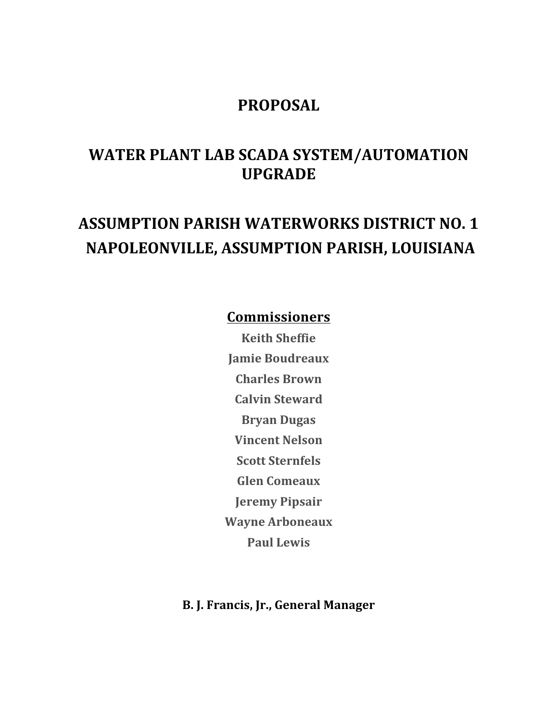## **PROPOSAL**

# **WATER PLANT LAB SCADA SYSTEM/AUTOMATION UPGRADE**

# **ASSUMPTION PARISH WATERWORKS DISTRICT NO. 1 NAPOLEONVILLE, ASSUMPTION PARISH, LOUISIANA**

### **Commissioners**

**Keith Sheffie Jamie Boudreaux Charles Brown Calvin Steward Bryan Dugas Vincent Nelson Scott Sternfels Glen Comeaux Jeremy Pipsair Wayne Arboneaux Paul Lewis**

**B. J. Francis, Jr., General Manager**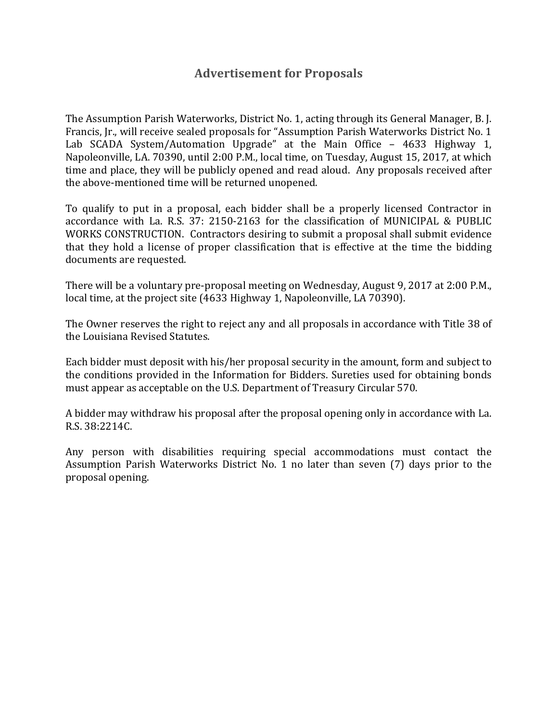#### **Advertisement for Proposals**

The Assumption Parish Waterworks, District No. 1, acting through its General Manager, B. J. Francis, Ir., will receive sealed proposals for "Assumption Parish Waterworks District No. 1 Lab SCADA System/Automation Upgrade" at the Main Office - 4633 Highway 1, Napoleonville, LA. 70390, until 2:00 P.M., local time, on Tuesday, August 15, 2017, at which time and place, they will be publicly opened and read aloud. Any proposals received after the above-mentioned time will be returned unopened.

To qualify to put in a proposal, each bidder shall be a properly licensed Contractor in accordance with La. R.S. 37: 2150-2163 for the classification of MUNICIPAL & PUBLIC WORKS CONSTRUCTION. Contractors desiring to submit a proposal shall submit evidence that they hold a license of proper classification that is effective at the time the bidding documents are requested.

There will be a voluntary pre-proposal meeting on Wednesday, August 9, 2017 at 2:00 P.M., local time, at the project site (4633 Highway 1, Napoleonville, LA 70390).

The Owner reserves the right to reject any and all proposals in accordance with Title 38 of the Louisiana Revised Statutes.

Each bidder must deposit with his/her proposal security in the amount, form and subject to the conditions provided in the Information for Bidders. Sureties used for obtaining bonds must appear as acceptable on the U.S. Department of Treasury Circular 570.

A bidder may withdraw his proposal after the proposal opening only in accordance with La. R.S. 38:2214C.

Any person with disabilities requiring special accommodations must contact the Assumption Parish Waterworks District No. 1 no later than seven (7) days prior to the proposal opening.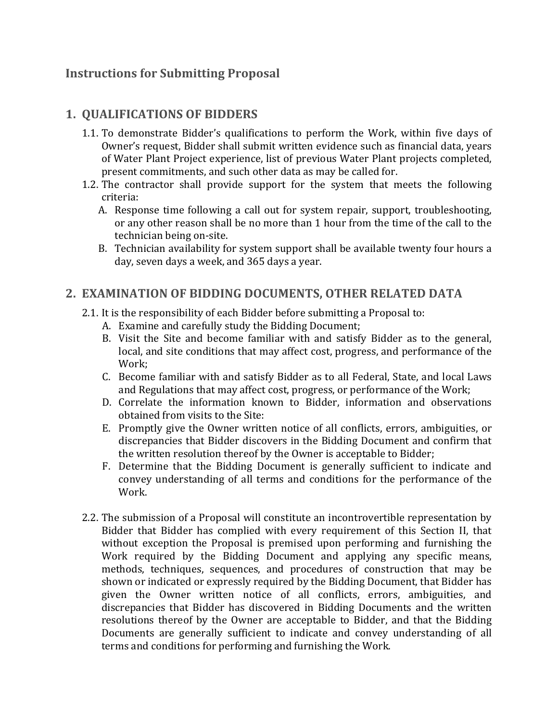#### **Instructions for Submitting Proposal**

#### **1. QUALIFICATIONS OF BIDDERS**

- 1.1. To demonstrate Bidder's qualifications to perform the Work, within five days of Owner's request, Bidder shall submit written evidence such as financial data, years of Water Plant Project experience, list of previous Water Plant projects completed, present commitments, and such other data as may be called for.
- 1.2. The contractor shall provide support for the system that meets the following criteria:
	- A. Response time following a call out for system repair, support, troubleshooting, or any other reason shall be no more than 1 hour from the time of the call to the technician being on-site.
	- B. Technician availability for system support shall be available twenty four hours a day, seven days a week, and 365 days a year.

#### **2. EXAMINATION OF BIDDING DOCUMENTS, OTHER RELATED DATA**

- 2.1. It is the responsibility of each Bidder before submitting a Proposal to:
	- A. Examine and carefully study the Bidding Document;
	- B. Visit the Site and become familiar with and satisfy Bidder as to the general, local, and site conditions that may affect cost, progress, and performance of the Work;
	- C. Become familiar with and satisfy Bidder as to all Federal, State, and local Laws and Regulations that may affect cost, progress, or performance of the Work;
	- D. Correlate the information known to Bidder, information and observations obtained from visits to the Site:
	- E. Promptly give the Owner written notice of all conflicts, errors, ambiguities, or discrepancies that Bidder discovers in the Bidding Document and confirm that the written resolution thereof by the Owner is acceptable to Bidder;
	- F. Determine that the Bidding Document is generally sufficient to indicate and convey understanding of all terms and conditions for the performance of the Work.
- 2.2. The submission of a Proposal will constitute an incontrovertible representation by Bidder that Bidder has complied with every requirement of this Section II, that without exception the Proposal is premised upon performing and furnishing the Work required by the Bidding Document and applying any specific means, methods, techniques, sequences, and procedures of construction that may be shown or indicated or expressly required by the Bidding Document, that Bidder has given the Owner written notice of all conflicts, errors, ambiguities, and discrepancies that Bidder has discovered in Bidding Documents and the written resolutions thereof by the Owner are acceptable to Bidder, and that the Bidding Documents are generally sufficient to indicate and convey understanding of all terms and conditions for performing and furnishing the Work.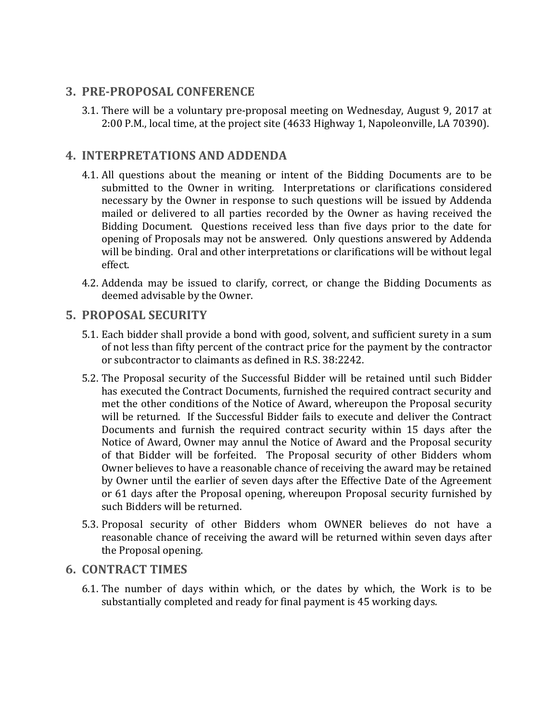#### **3. PRE-PROPOSAL CONFERENCE**

3.1. There will be a voluntary pre-proposal meeting on Wednesday, August 9, 2017 at 2:00 P.M., local time, at the project site (4633 Highway 1, Napoleonville, LA 70390).

#### **4. INTERPRETATIONS AND ADDENDA**

- 4.1. All questions about the meaning or intent of the Bidding Documents are to be submitted to the Owner in writing. Interpretations or clarifications considered necessary by the Owner in response to such questions will be issued by Addenda mailed or delivered to all parties recorded by the Owner as having received the Bidding Document. Ouestions received less than five days prior to the date for opening of Proposals may not be answered. Only questions answered by Addenda will be binding. Oral and other interpretations or clarifications will be without legal effect.
- 4.2. Addenda may be issued to clarify, correct, or change the Bidding Documents as deemed advisable by the Owner.

#### **5. PROPOSAL SECURITY**

- 5.1. Each bidder shall provide a bond with good, solvent, and sufficient surety in a sum of not less than fifty percent of the contract price for the payment by the contractor or subcontractor to claimants as defined in R.S. 38:2242.
- 5.2. The Proposal security of the Successful Bidder will be retained until such Bidder has executed the Contract Documents, furnished the required contract security and met the other conditions of the Notice of Award, whereupon the Proposal security will be returned. If the Successful Bidder fails to execute and deliver the Contract Documents and furnish the required contract security within 15 days after the Notice of Award, Owner may annul the Notice of Award and the Proposal security of that Bidder will be forfeited. The Proposal security of other Bidders whom Owner believes to have a reasonable chance of receiving the award may be retained by Owner until the earlier of seven days after the Effective Date of the Agreement or 61 days after the Proposal opening, whereupon Proposal security furnished by such Bidders will be returned.
- 5.3. Proposal security of other Bidders whom OWNER believes do not have a reasonable chance of receiving the award will be returned within seven days after the Proposal opening.

#### **6. CONTRACT TIMES**

6.1. The number of days within which, or the dates by which, the Work is to be substantially completed and ready for final payment is 45 working days.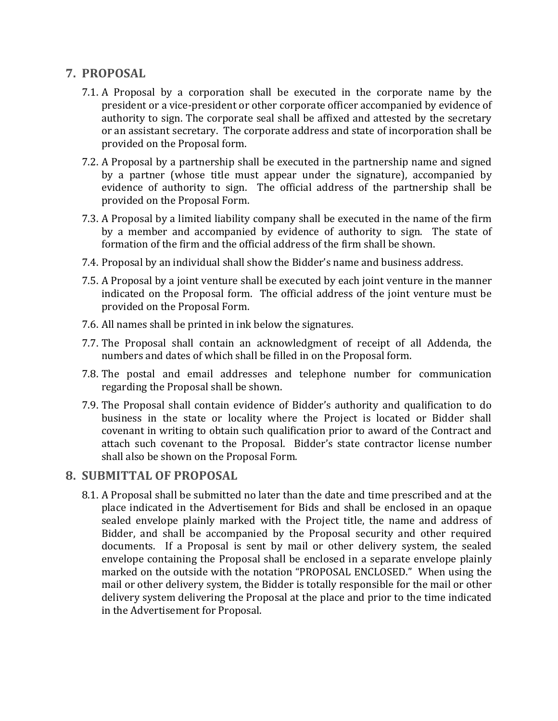#### **7. PROPOSAL**

- 7.1. A Proposal by a corporation shall be executed in the corporate name by the president or a vice-president or other corporate officer accompanied by evidence of authority to sign. The corporate seal shall be affixed and attested by the secretary or an assistant secretary. The corporate address and state of incorporation shall be provided on the Proposal form.
- 7.2. A Proposal by a partnership shall be executed in the partnership name and signed by a partner (whose title must appear under the signature), accompanied by evidence of authority to sign. The official address of the partnership shall be provided on the Proposal Form.
- 7.3. A Proposal by a limited liability company shall be executed in the name of the firm by a member and accompanied by evidence of authority to sign. The state of formation of the firm and the official address of the firm shall be shown.
- 7.4. Proposal by an individual shall show the Bidder's name and business address.
- 7.5. A Proposal by a joint venture shall be executed by each joint venture in the manner indicated on the Proposal form. The official address of the joint venture must be provided on the Proposal Form.
- 7.6. All names shall be printed in ink below the signatures.
- 7.7. The Proposal shall contain an acknowledgment of receipt of all Addenda, the numbers and dates of which shall be filled in on the Proposal form.
- 7.8. The postal and email addresses and telephone number for communication regarding the Proposal shall be shown.
- 7.9. The Proposal shall contain evidence of Bidder's authority and qualification to do business in the state or locality where the Project is located or Bidder shall covenant in writing to obtain such qualification prior to award of the Contract and attach such covenant to the Proposal. Bidder's state contractor license number shall also be shown on the Proposal Form.

#### **8. SUBMITTAL OF PROPOSAL**

8.1. A Proposal shall be submitted no later than the date and time prescribed and at the place indicated in the Advertisement for Bids and shall be enclosed in an opaque sealed envelope plainly marked with the Project title, the name and address of Bidder, and shall be accompanied by the Proposal security and other required documents. If a Proposal is sent by mail or other delivery system, the sealed envelope containing the Proposal shall be enclosed in a separate envelope plainly marked on the outside with the notation "PROPOSAL ENCLOSED." When using the mail or other delivery system, the Bidder is totally responsible for the mail or other delivery system delivering the Proposal at the place and prior to the time indicated in the Advertisement for Proposal.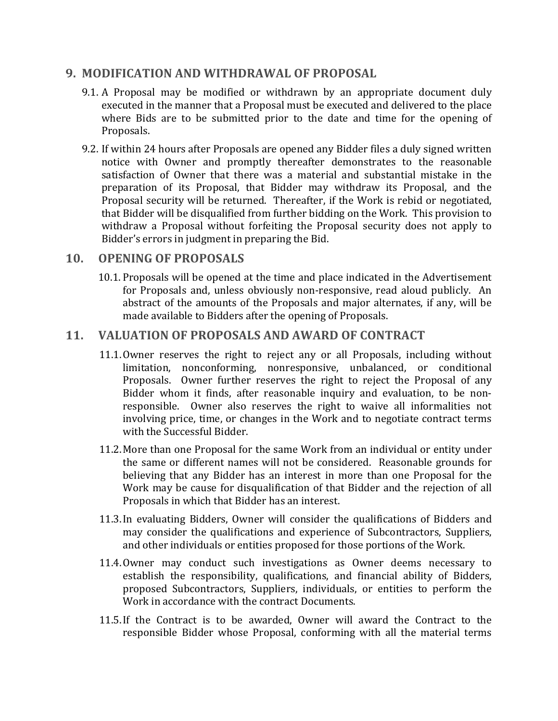#### **9. MODIFICATION AND WITHDRAWAL OF PROPOSAL**

- 9.1. A Proposal may be modified or withdrawn by an appropriate document duly executed in the manner that a Proposal must be executed and delivered to the place where Bids are to be submitted prior to the date and time for the opening of Proposals.
- 9.2. If within 24 hours after Proposals are opened any Bidder files a duly signed written notice with Owner and promptly thereafter demonstrates to the reasonable satisfaction of Owner that there was a material and substantial mistake in the preparation of its Proposal, that Bidder may withdraw its Proposal, and the Proposal security will be returned. Thereafter, if the Work is rebid or negotiated, that Bidder will be disqualified from further bidding on the Work. This provision to withdraw a Proposal without forfeiting the Proposal security does not apply to Bidder's errors in judgment in preparing the Bid.

#### 10. **OPENING OF PROPOSALS**

10.1. Proposals will be opened at the time and place indicated in the Advertisement for Proposals and, unless obviously non-responsive, read aloud publicly. An abstract of the amounts of the Proposals and major alternates, if any, will be made available to Bidders after the opening of Proposals.

#### 11. **VALUATION OF PROPOSALS AND AWARD OF CONTRACT**

- 11.1.Owner reserves the right to reject any or all Proposals, including without limitation, nonconforming, nonresponsive, unbalanced, or conditional Proposals. Owner further reserves the right to reject the Proposal of any Bidder whom it finds, after reasonable inquiry and evaluation, to be nonresponsible. Owner also reserves the right to waive all informalities not involving price, time, or changes in the Work and to negotiate contract terms with the Successful Bidder.
- 11.2. More than one Proposal for the same Work from an individual or entity under the same or different names will not be considered. Reasonable grounds for believing that any Bidder has an interest in more than one Proposal for the Work may be cause for disqualification of that Bidder and the rejection of all Proposals in which that Bidder has an interest.
- 11.3. In evaluating Bidders, Owner will consider the qualifications of Bidders and may consider the qualifications and experience of Subcontractors, Suppliers, and other individuals or entities proposed for those portions of the Work.
- 11.4. Owner may conduct such investigations as Owner deems necessary to establish the responsibility, qualifications, and financial ability of Bidders, proposed Subcontractors, Suppliers, individuals, or entities to perform the Work in accordance with the contract Documents.
- 11.5. If the Contract is to be awarded, Owner will award the Contract to the responsible Bidder whose Proposal, conforming with all the material terms